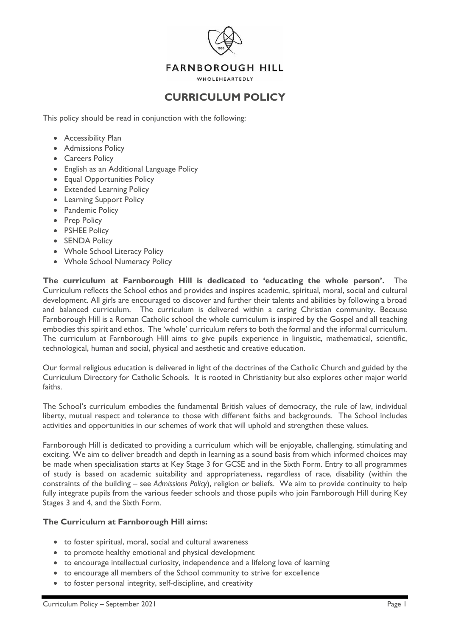

WHOLEHEARTEDLY

# **CURRICULUM POLICY**

This policy should be read in conjunction with the following:

- Accessibility Plan
- Admissions Policy
- Careers Policy
- English as an Additional Language Policy
- Equal Opportunities Policy
- Extended Learning Policy
- Learning Support Policy
- Pandemic Policy
- Prep Policy
- PSHEE Policy
- SENDA Policy
- Whole School Literacy Policy
- Whole School Numeracy Policy

**The curriculum at Farnborough Hill is dedicated to 'educating the whole person'.** The Curriculum reflects the School ethos and provides and inspires academic, spiritual, moral, social and cultural development. All girls are encouraged to discover and further their talents and abilities by following a broad and balanced curriculum. The curriculum is delivered within a caring Christian community. Because Farnborough Hill is a Roman Catholic school the whole curriculum is inspired by the Gospel and all teaching embodies this spirit and ethos. The 'whole' curriculum refers to both the formal and the informal curriculum. The curriculum at Farnborough Hill aims to give pupils experience in linguistic, mathematical, scientific, technological, human and social, physical and aesthetic and creative education.

Our formal religious education is delivered in light of the doctrines of the Catholic Church and guided by the Curriculum Directory for Catholic Schools. It is rooted in Christianity but also explores other major world faiths.

The School's curriculum embodies the fundamental British values of democracy, the rule of law, individual liberty, mutual respect and tolerance to those with different faiths and backgrounds. The School includes activities and opportunities in our schemes of work that will uphold and strengthen these values.

Farnborough Hill is dedicated to providing a curriculum which will be enjoyable, challenging, stimulating and exciting. We aim to deliver breadth and depth in learning as a sound basis from which informed choices may be made when specialisation starts at Key Stage 3 for GCSE and in the Sixth Form. Entry to all programmes of study is based on academic suitability and appropriateness, regardless of race, disability (within the constraints of the building – see *Admissions Policy*), religion or beliefs. We aim to provide continuity to help fully integrate pupils from the various feeder schools and those pupils who join Farnborough Hill during Key Stages 3 and 4, and the Sixth Form.

#### **The Curriculum at Farnborough Hill aims:**

- to foster spiritual, moral, social and cultural awareness
- to promote healthy emotional and physical development
- to encourage intellectual curiosity, independence and a lifelong love of learning
- to encourage all members of the School community to strive for excellence
- to foster personal integrity, self-discipline, and creativity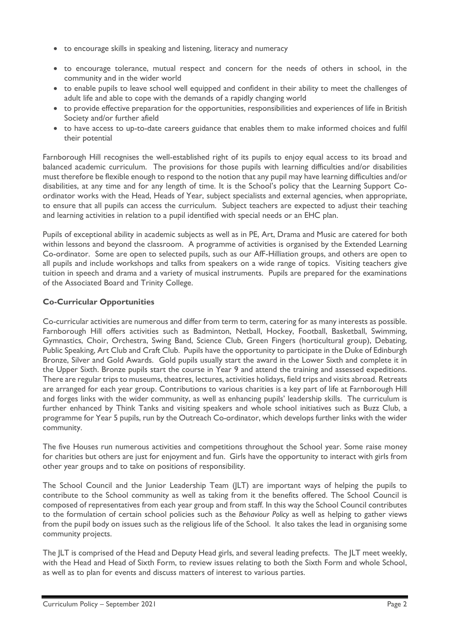- to encourage skills in speaking and listening, literacy and numeracy
- to encourage tolerance, mutual respect and concern for the needs of others in school, in the community and in the wider world
- to enable pupils to leave school well equipped and confident in their ability to meet the challenges of adult life and able to cope with the demands of a rapidly changing world
- to provide effective preparation for the opportunities, responsibilities and experiences of life in British Society and/or further afield
- to have access to up-to-date careers guidance that enables them to make informed choices and fulfil their potential

Farnborough Hill recognises the well-established right of its pupils to enjoy equal access to its broad and balanced academic curriculum. The provisions for those pupils with learning difficulties and/or disabilities must therefore be flexible enough to respond to the notion that any pupil may have learning difficulties and/or disabilities, at any time and for any length of time. It is the School's policy that the Learning Support Coordinator works with the Head, Heads of Year, subject specialists and external agencies, when appropriate, to ensure that all pupils can access the curriculum. Subject teachers are expected to adjust their teaching and learning activities in relation to a pupil identified with special needs or an EHC plan.

Pupils of exceptional ability in academic subjects as well as in PE, Art, Drama and Music are catered for both within lessons and beyond the classroom. A programme of activities is organised by the Extended Learning Co-ordinator. Some are open to selected pupils, such as our AfF-Hilliation groups, and others are open to all pupils and include workshops and talks from speakers on a wide range of topics. Visiting teachers give tuition in speech and drama and a variety of musical instruments. Pupils are prepared for the examinations of the Associated Board and Trinity College.

# **Co-Curricular Opportunities**

Co-curricular activities are numerous and differ from term to term, catering for as many interests as possible. Farnborough Hill offers activities such as Badminton, Netball, Hockey, Football, Basketball, Swimming, Gymnastics, Choir, Orchestra, Swing Band, Science Club, Green Fingers (horticultural group), Debating, Public Speaking, Art Club and Craft Club. Pupils have the opportunity to participate in the Duke of Edinburgh Bronze, Silver and Gold Awards. Gold pupils usually start the award in the Lower Sixth and complete it in the Upper Sixth. Bronze pupils start the course in Year 9 and attend the training and assessed expeditions. There are regular trips to museums, theatres, lectures, activities holidays, field trips and visits abroad. Retreats are arranged for each year group. Contributions to various charities is a key part of life at Farnborough Hill and forges links with the wider community, as well as enhancing pupils' leadership skills. The curriculum is further enhanced by Think Tanks and visiting speakers and whole school initiatives such as Buzz Club, a programme for Year 5 pupils, run by the Outreach Co-ordinator, which develops further links with the wider community.

The five Houses run numerous activities and competitions throughout the School year. Some raise money for charities but others are just for enjoyment and fun. Girls have the opportunity to interact with girls from other year groups and to take on positions of responsibility.

The School Council and the Junior Leadership Team (JLT) are important ways of helping the pupils to contribute to the School community as well as taking from it the benefits offered. The School Council is composed of representatives from each year group and from staff. In this way the School Council contributes to the formulation of certain school policies such as the *Behaviour Policy* as well as helping to gather views from the pupil body on issues such as the religious life of the School. It also takes the lead in organising some community projects.

The JLT is comprised of the Head and Deputy Head girls, and several leading prefects. The JLT meet weekly, with the Head and Head of Sixth Form, to review issues relating to both the Sixth Form and whole School, as well as to plan for events and discuss matters of interest to various parties.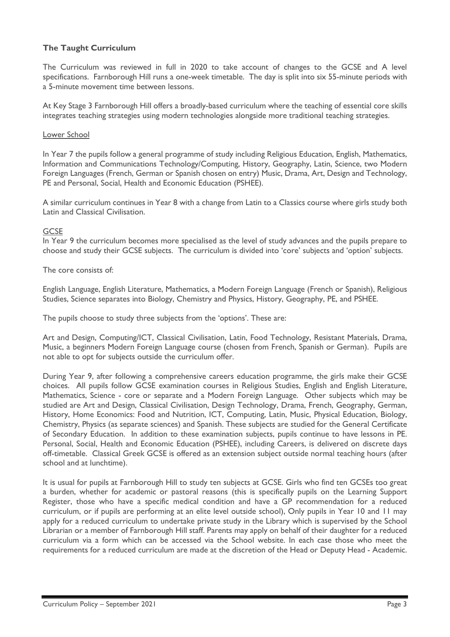# **The Taught Curriculum**

The Curriculum was reviewed in full in 2020 to take account of changes to the GCSE and A level specifications. Farnborough Hill runs a one-week timetable. The day is split into six 55-minute periods with a 5-minute movement time between lessons.

At Key Stage 3 Farnborough Hill offers a broadly-based curriculum where the teaching of essential core skills integrates teaching strategies using modern technologies alongside more traditional teaching strategies.

#### Lower School

In Year 7 the pupils follow a general programme of study including Religious Education, English, Mathematics, Information and Communications Technology/Computing, History, Geography, Latin, Science, two Modern Foreign Languages (French, German or Spanish chosen on entry) Music, Drama, Art, Design and Technology, PE and Personal, Social, Health and Economic Education (PSHEE).

A similar curriculum continues in Year 8 with a change from Latin to a Classics course where girls study both Latin and Classical Civilisation.

## **GCSE**

In Year 9 the curriculum becomes more specialised as the level of study advances and the pupils prepare to choose and study their GCSE subjects. The curriculum is divided into 'core' subjects and 'option' subjects.

## The core consists of:

English Language, English Literature, Mathematics, a Modern Foreign Language (French or Spanish), Religious Studies, Science separates into Biology, Chemistry and Physics, History, Geography, PE, and PSHEE.

The pupils choose to study three subjects from the 'options'. These are:

Art and Design, Computing/ICT, Classical Civilisation, Latin, Food Technology, Resistant Materials, Drama, Music, a beginners Modern Foreign Language course (chosen from French, Spanish or German). Pupils are not able to opt for subjects outside the curriculum offer.

During Year 9, after following a comprehensive careers education programme, the girls make their GCSE choices. All pupils follow GCSE examination courses in Religious Studies, English and English Literature, Mathematics, Science - core or separate and a Modern Foreign Language. Other subjects which may be studied are Art and Design, Classical Civilisation, Design Technology, Drama, French, Geography, German, History, Home Economics: Food and Nutrition, ICT, Computing, Latin, Music, Physical Education, Biology, Chemistry, Physics (as separate sciences) and Spanish. These subjects are studied for the General Certificate of Secondary Education. In addition to these examination subjects, pupils continue to have lessons in PE. Personal, Social, Health and Economic Education (PSHEE), including Careers, is delivered on discrete days off-timetable. Classical Greek GCSE is offered as an extension subject outside normal teaching hours (after school and at lunchtime).

It is usual for pupils at Farnborough Hill to study ten subjects at GCSE. Girls who find ten GCSEs too great a burden, whether for academic or pastoral reasons (this is specifically pupils on the Learning Support Register, those who have a specific medical condition and have a GP recommendation for a reduced curriculum, or if pupils are performing at an elite level outside school), Only pupils in Year 10 and 11 may apply for a reduced curriculum to undertake private study in the Library which is supervised by the School Librarian or a member of Farnborough Hill staff. Parents may apply on behalf of their daughter for a reduced curriculum via a form which can be accessed via the School website. In each case those who meet the requirements for a reduced curriculum are made at the discretion of the Head or Deputy Head - Academic.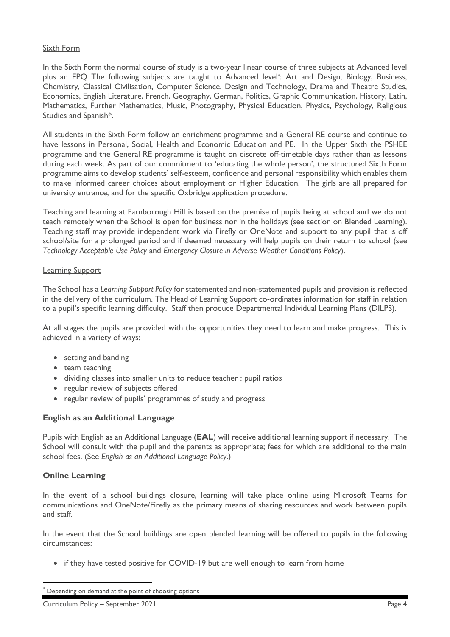## Sixth Form

In the Sixth Form the normal course of study is a two-year linear course of three subjects at Advanced level plus an EPQ The following subjects are taught to Advanced level\* : Art and Design, Biology, Business, Chemistry, Classical Civilisation, Computer Science, Design and Technology, Drama and Theatre Studies, Economics, English Literature, French, Geography, German, Politics, Graphic Communication, History, Latin, Mathematics, Further Mathematics, Music, Photography, Physical Education, Physics, Psychology, Religious Studies and Spanish\*.

All students in the Sixth Form follow an enrichment programme and a General RE course and continue to have lessons in Personal, Social, Health and Economic Education and PE. In the Upper Sixth the PSHEE programme and the General RE programme is taught on discrete off-timetable days rather than as lessons during each week. As part of our commitment to 'educating the whole person', the structured Sixth Form programme aims to develop students' self-esteem, confidence and personal responsibility which enables them to make informed career choices about employment or Higher Education. The girls are all prepared for university entrance, and for the specific Oxbridge application procedure.

Teaching and learning at Farnborough Hill is based on the premise of pupils being at school and we do not teach remotely when the School is open for business nor in the holidays (see section on Blended Learning). Teaching staff may provide independent work via Firefly or OneNote and support to any pupil that is off school/site for a prolonged period and if deemed necessary will help pupils on their return to school (see *Technology Acceptable Use Policy* and *Emergency Closure in Adverse Weather Conditions Policy*).

## Learning Support

The School has a *Learning Support Policy* for statemented and non-statemented pupils and provision is reflected in the delivery of the curriculum. The Head of Learning Support co-ordinates information for staff in relation to a pupil's specific learning difficulty. Staff then produce Departmental Individual Learning Plans (DILPS).

At all stages the pupils are provided with the opportunities they need to learn and make progress. This is achieved in a variety of ways:

- setting and banding
- team teaching
- dividing classes into smaller units to reduce teacher : pupil ratios
- regular review of subjects offered
- regular review of pupils' programmes of study and progress

## **English as an Additional Language**

Pupils with English as an Additional Language (**EAL**) will receive additional learning support if necessary. The School will consult with the pupil and the parents as appropriate; fees for which are additional to the main school fees. (See *English as an Additional Language Policy*.)

## **Online Learning**

1

In the event of a school buildings closure, learning will take place online using Microsoft Teams for communications and OneNote/Firefly as the primary means of sharing resources and work between pupils and staff.

In the event that the School buildings are open blended learning will be offered to pupils in the following circumstances:

• if they have tested positive for COVID-19 but are well enough to learn from home

Depending on demand at the point of choosing options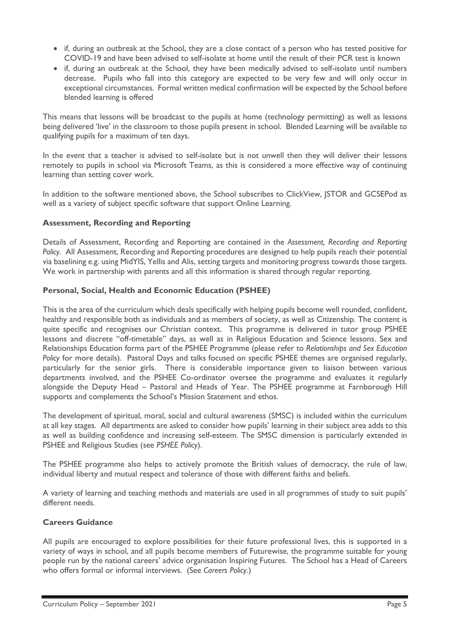- if, during an outbreak at the School, they are a close contact of a person who has tested positive for COVID-19 and have been advised to self-isolate at home until the result of their PCR test is known
- if, during an outbreak at the School, they have been medically advised to self-isolate until numbers decrease. Pupils who fall into this category are expected to be very few and will only occur in exceptional circumstances. Formal written medical confirmation will be expected by the School before blended learning is offered

This means that lessons will be broadcast to the pupils at home (technology permitting) as well as lessons being delivered 'live' in the classroom to those pupils present in school. Blended Learning will be available to qualifying pupils for a maximum of ten days.

In the event that a teacher is advised to self-isolate but is not unwell then they will deliver their lessons remotely to pupils in school via Microsoft Teams, as this is considered a more effective way of continuing learning than setting cover work.

In addition to the software mentioned above, the School subscribes to ClickView, JSTOR and GCSEPod as well as a variety of subject specific software that support Online Learning.

# **Assessment, Recording and Reporting**

Details of Assessment, Recording and Reporting are contained in the *Assessment, Recording and Reporting Policy.* All Assessment, Recording and Reporting procedures are designed to help pupils reach their potential via baselining e.g. using MidYIS, Yellis and Alis, setting targets and monitoring progress towards those targets. We work in partnership with parents and all this information is shared through regular reporting.

# **Personal, Social, Health and Economic Education (PSHEE)**

This is the area of the curriculum which deals specifically with helping pupils become well rounded, confident, healthy and responsible both as individuals and as members of society, as well as Citizenship. The content is quite specific and recognises our Christian context. This programme is delivered in tutor group PSHEE lessons and discrete "off-timetable" days, as well as in Religious Education and Science lessons. Sex and Relationships Education forms part of the PSHEE Programme (please refer to *Relationships and Sex Education Policy* for more details). Pastoral Days and talks focused on specific PSHEE themes are organised regularly, particularly for the senior girls. There is considerable importance given to liaison between various departments involved, and the PSHEE Co-ordinator oversee the programme and evaluates it regularly alongside the Deputy Head – Pastoral and Heads of Year. The PSHEE programme at Farnborough Hill supports and complements the School's Mission Statement and ethos.

The development of spiritual, moral, social and cultural awareness (SMSC) is included within the curriculum at all key stages. All departments are asked to consider how pupils' learning in their subject area adds to this as well as building confidence and increasing self-esteem. The SMSC dimension is particularly extended in PSHEE and Religious Studies (see *PSHEE Policy*).

The PSHEE programme also helps to actively promote the British values of democracy, the rule of law, individual liberty and mutual respect and tolerance of those with different faiths and beliefs.

A variety of learning and teaching methods and materials are used in all programmes of study to suit pupils' different needs.

# **Careers Guidance**

All pupils are encouraged to explore possibilities for their future professional lives, this is supported in a variety of ways in school, and all pupils become members of Futurewise, the programme suitable for young people run by the national careers' advice organisation Inspiring Futures. The School has a Head of Careers who offers formal or informal interviews. (See *Careers Policy*.)